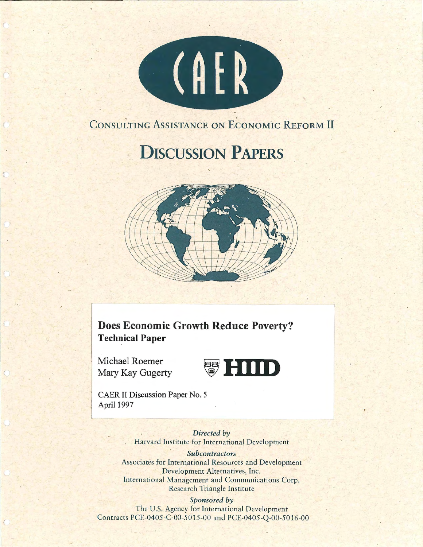

# CONSULTING ASSISTANCE ON ECONOMIC REFORM II

# **DISCUSSION PAPERS**



**Does Economic Growth Reduce Poverty? Technical Paper** 

Michael Roemer



CAER II Discussion Paper No. 5 April 1997

> *Directed by*  Harvard Institute for International Development

#### *Subcontractors*

Associates for International Resources and Development \_Development Alternatives, Inc. International Management and Communications Corp. Research Triangle Institute

#### *Sponsored by*

The U.S. Agency for International Development Contracts PCE-0405-C-00-5015-00 and PCE-0405-Q-00-5016-00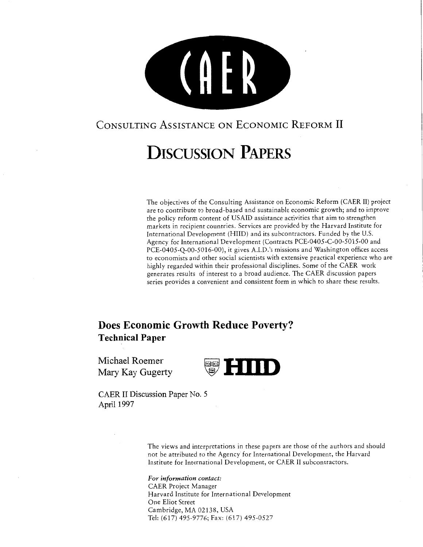

# CONSULTING ASSISTANCE ON ECONOMIC REFORM II

# **DISCUSSION PAPERS**

The objectives of the Consulting Assistance on Economic Reform (CAER II) project are to contribute to broad-based and sustainable economic growth; and to improve the policy reform content of USAID assistance activities that aim to strengthen markets in recipient countries. Services are provided by the Harvard Institute for International Development (HIID) and its subcontractors. Funded by the U.S. Agency for International Development (Contracts PCE-0405-C-00-5015-00 and PCE-0405-Q-00-5016-00), it gives A.I.D.'s missions and Washington offices access to economists and other social scientists with extensive practical experience who are highly regarded within their professional disciplines. Some of the CAER work generates results of interest to a broad audience. The CAER discussion papers series provides a convenient and consistent form in which to share these results.

# **Does Economic Growth Reduce Poverty? Technical Paper**

Michael Roemer



CAER II Discussion Paper No. 5 April 1997

> The views and interpretations in these papers are those of the authors and should not be attributed to the Agency for International Development, the Harvard Institute for International Development, or CAER II subcontractors.

*For information contact:*  CAER Project Manager Harvard Institute for International Development One Eliot Street Cambridge, MA 02138, USA Tel: (617) 495-9776; Fax: (617) 495-0527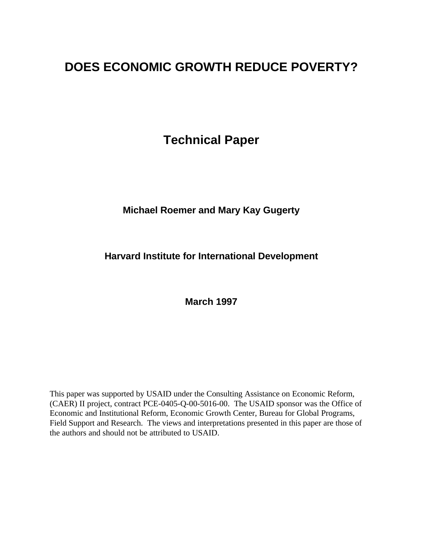# **DOES ECONOMIC GROWTH REDUCE POVERTY?**

**Technical Paper**

## **Michael Roemer and Mary Kay Gugerty**

## **Harvard Institute for International Development**

**March 1997**

This paper was supported by USAID under the Consulting Assistance on Economic Reform, (CAER) II project, contract PCE-0405-Q-00-5016-00. The USAID sponsor was the Office of Economic and Institutional Reform, Economic Growth Center, Bureau for Global Programs, Field Support and Research. The views and interpretations presented in this paper are those of the authors and should not be attributed to USAID.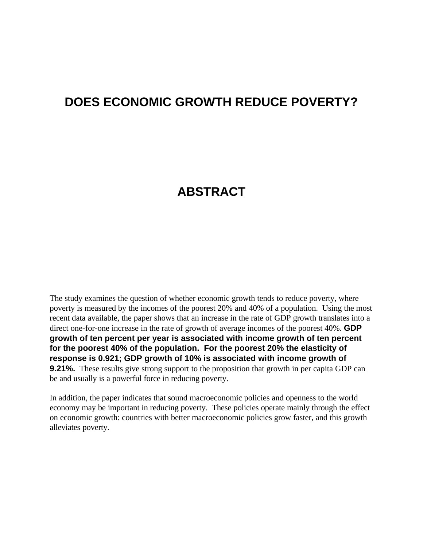# **DOES ECONOMIC GROWTH REDUCE POVERTY?**

# **ABSTRACT**

The study examines the question of whether economic growth tends to reduce poverty, where poverty is measured by the incomes of the poorest 20% and 40% of a population. Using the most recent data available, the paper shows that an increase in the rate of GDP growth translates into a direct one-for-one increase in the rate of growth of average incomes of the poorest 40%. **GDP growth of ten percent per year is associated with income growth of ten percent for the poorest 40% of the population. For the poorest 20% the elasticity of response is 0.921; GDP growth of 10% is associated with income growth of 9.21%.** These results give strong support to the proposition that growth in per capita GDP can be and usually is a powerful force in reducing poverty.

In addition, the paper indicates that sound macroeconomic policies and openness to the world economy may be important in reducing poverty. These policies operate mainly through the effect on economic growth: countries with better macroeconomic policies grow faster, and this growth alleviates poverty.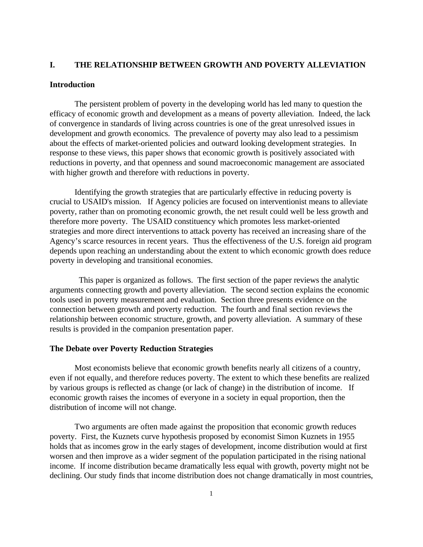#### **I. THE RELATIONSHIP BETWEEN GROWTH AND POVERTY ALLEVIATION**

#### **Introduction**

The persistent problem of poverty in the developing world has led many to question the efficacy of economic growth and development as a means of poverty alleviation. Indeed, the lack of convergence in standards of living across countries is one of the great unresolved issues in development and growth economics. The prevalence of poverty may also lead to a pessimism about the effects of market-oriented policies and outward looking development strategies. In response to these views, this paper shows that economic growth is positively associated with reductions in poverty, and that openness and sound macroeconomic management are associated with higher growth and therefore with reductions in poverty.

Identifying the growth strategies that are particularly effective in reducing poverty is crucial to USAID's mission. If Agency policies are focused on interventionist means to alleviate poverty, rather than on promoting economic growth, the net result could well be less growth and therefore more poverty. The USAID constituency which promotes less market-oriented strategies and more direct interventions to attack poverty has received an increasing share of the Agency's scarce resources in recent years. Thus the effectiveness of the U.S. foreign aid program depends upon reaching an understanding about the extent to which economic growth does reduce poverty in developing and transitional economies.

 This paper is organized as follows. The first section of the paper reviews the analytic arguments connecting growth and poverty alleviation. The second section explains the economic tools used in poverty measurement and evaluation. Section three presents evidence on the connection between growth and poverty reduction. The fourth and final section reviews the relationship between economic structure, growth, and poverty alleviation. A summary of these results is provided in the companion presentation paper.

#### **The Debate over Poverty Reduction Strategies**

Most economists believe that economic growth benefits nearly all citizens of a country, even if not equally, and therefore reduces poverty. The extent to which these benefits are realized by various groups is reflected as change (or lack of change) in the distribution of income. If economic growth raises the incomes of everyone in a society in equal proportion, then the distribution of income will not change.

Two arguments are often made against the proposition that economic growth reduces poverty. First, the Kuznets curve hypothesis proposed by economist Simon Kuznets in 1955 holds that as incomes grow in the early stages of development, income distribution would at first worsen and then improve as a wider segment of the population participated in the rising national income. If income distribution became dramatically less equal with growth, poverty might not be declining. Our study finds that income distribution does not change dramatically in most countries,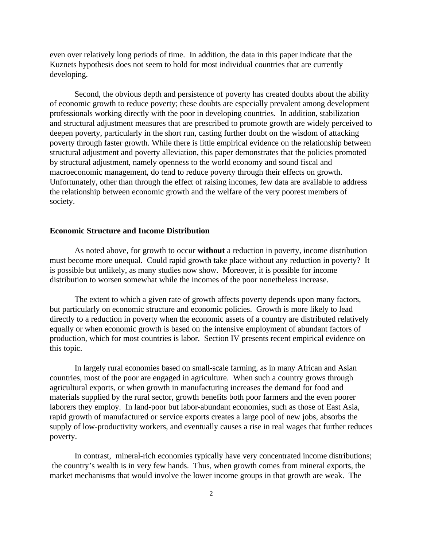even over relatively long periods of time. In addition, the data in this paper indicate that the Kuznets hypothesis does not seem to hold for most individual countries that are currently developing.

Second, the obvious depth and persistence of poverty has created doubts about the ability of economic growth to reduce poverty; these doubts are especially prevalent among development professionals working directly with the poor in developing countries. In addition, stabilization and structural adjustment measures that are prescribed to promote growth are widely perceived to deepen poverty, particularly in the short run, casting further doubt on the wisdom of attacking poverty through faster growth. While there is little empirical evidence on the relationship between structural adjustment and poverty alleviation, this paper demonstrates that the policies promoted by structural adjustment, namely openness to the world economy and sound fiscal and macroeconomic management, do tend to reduce poverty through their effects on growth. Unfortunately, other than through the effect of raising incomes, few data are available to address the relationship between economic growth and the welfare of the very poorest members of society.

#### **Economic Structure and Income Distribution**

As noted above, for growth to occur **without** a reduction in poverty, income distribution must become more unequal. Could rapid growth take place without any reduction in poverty? It is possible but unlikely, as many studies now show. Moreover, it is possible for income distribution to worsen somewhat while the incomes of the poor nonetheless increase.

The extent to which a given rate of growth affects poverty depends upon many factors, but particularly on economic structure and economic policies. Growth is more likely to lead directly to a reduction in poverty when the economic assets of a country are distributed relatively equally or when economic growth is based on the intensive employment of abundant factors of production, which for most countries is labor. Section IV presents recent empirical evidence on this topic.

In largely rural economies based on small-scale farming, as in many African and Asian countries, most of the poor are engaged in agriculture. When such a country grows through agricultural exports, or when growth in manufacturing increases the demand for food and materials supplied by the rural sector, growth benefits both poor farmers and the even poorer laborers they employ. In land-poor but labor-abundant economies, such as those of East Asia, rapid growth of manufactured or service exports creates a large pool of new jobs, absorbs the supply of low-productivity workers, and eventually causes a rise in real wages that further reduces poverty.

In contrast, mineral-rich economies typically have very concentrated income distributions; the country's wealth is in very few hands. Thus, when growth comes from mineral exports, the market mechanisms that would involve the lower income groups in that growth are weak. The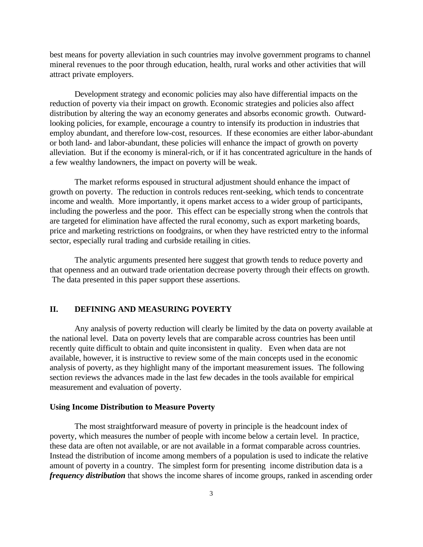best means for poverty alleviation in such countries may involve government programs to channel mineral revenues to the poor through education, health, rural works and other activities that will attract private employers.

Development strategy and economic policies may also have differential impacts on the reduction of poverty via their impact on growth. Economic strategies and policies also affect distribution by altering the way an economy generates and absorbs economic growth. Outwardlooking policies, for example, encourage a country to intensify its production in industries that employ abundant, and therefore low-cost, resources. If these economies are either labor-abundant or both land- and labor-abundant, these policies will enhance the impact of growth on poverty alleviation. But if the economy is mineral-rich, or if it has concentrated agriculture in the hands of a few wealthy landowners, the impact on poverty will be weak.

The market reforms espoused in structural adjustment should enhance the impact of growth on poverty. The reduction in controls reduces rent-seeking, which tends to concentrate income and wealth. More importantly, it opens market access to a wider group of participants, including the powerless and the poor. This effect can be especially strong when the controls that are targeted for elimination have affected the rural economy, such as export marketing boards, price and marketing restrictions on foodgrains, or when they have restricted entry to the informal sector, especially rural trading and curbside retailing in cities.

The analytic arguments presented here suggest that growth tends to reduce poverty and that openness and an outward trade orientation decrease poverty through their effects on growth. The data presented in this paper support these assertions.

#### **II. DEFINING AND MEASURING POVERTY**

Any analysis of poverty reduction will clearly be limited by the data on poverty available at the national level. Data on poverty levels that are comparable across countries has been until recently quite difficult to obtain and quite inconsistent in quality. Even when data are not available, however, it is instructive to review some of the main concepts used in the economic analysis of poverty, as they highlight many of the important measurement issues. The following section reviews the advances made in the last few decades in the tools available for empirical measurement and evaluation of poverty.

#### **Using Income Distribution to Measure Poverty**

The most straightforward measure of poverty in principle is the headcount index of poverty, which measures the number of people with income below a certain level. In practice, these data are often not available, or are not available in a format comparable across countries. Instead the distribution of income among members of a population is used to indicate the relative amount of poverty in a country. The simplest form for presenting income distribution data is a *frequency distribution* that shows the income shares of income groups, ranked in ascending order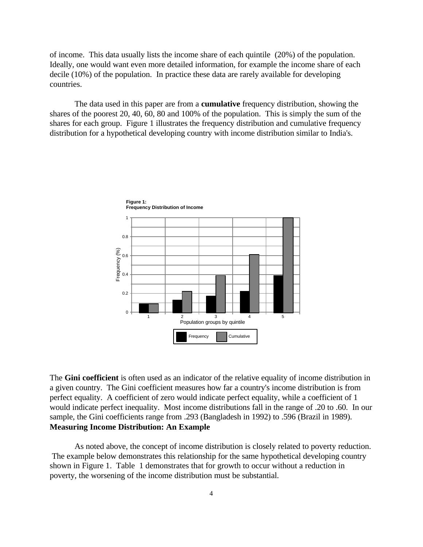of income. This data usually lists the income share of each quintile (20%) of the population. Ideally, one would want even more detailed information, for example the income share of each decile (10%) of the population. In practice these data are rarely available for developing countries.

The data used in this paper are from a **cumulative** frequency distribution, showing the shares of the poorest 20, 40, 60, 80 and 100% of the population. This is simply the sum of the shares for each group. Figure 1 illustrates the frequency distribution and cumulative frequency distribution for a hypothetical developing country with income distribution similar to India's.



The **Gini coefficient** is often used as an indicator of the relative equality of income distribution in a given country. The Gini coefficient measures how far a country's income distribution is from perfect equality. A coefficient of zero would indicate perfect equality, while a coefficient of 1 would indicate perfect inequality. Most income distributions fall in the range of .20 to .60. In our sample, the Gini coefficients range from .293 (Bangladesh in 1992) to .596 (Brazil in 1989). **Measuring Income Distribution: An Example**

As noted above, the concept of income distribution is closely related to poverty reduction. The example below demonstrates this relationship for the same hypothetical developing country shown in Figure 1. Table 1 demonstrates that for growth to occur without a reduction in poverty, the worsening of the income distribution must be substantial.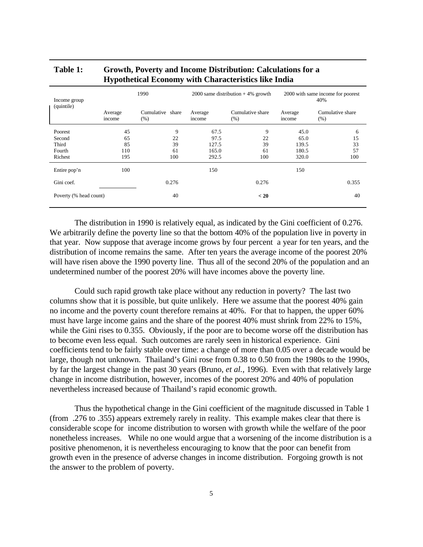| Cumulative share |
|------------------|
|                  |
| 6                |
| 15               |
| 33               |
| 57               |
| 100              |
|                  |
| 0.355            |
| 40               |
|                  |

#### **Table 1: Growth, Poverty and Income Distribution: Calculations for a Hypothetical Economy with Characteristics like India**

The distribution in 1990 is relatively equal, as indicated by the Gini coefficient of 0.276. We arbitrarily define the poverty line so that the bottom 40% of the population live in poverty in that year. Now suppose that average income grows by four percent a year for ten years, and the distribution of income remains the same. After ten years the average income of the poorest 20% will have risen above the 1990 poverty line. Thus all of the second 20% of the population and an undetermined number of the poorest 20% will have incomes above the poverty line.

Could such rapid growth take place without any reduction in poverty? The last two columns show that it is possible, but quite unlikely. Here we assume that the poorest 40% gain no income and the poverty count therefore remains at 40%. For that to happen, the upper 60% must have large income gains and the share of the poorest 40% must shrink from 22% to 15%, while the Gini rises to 0.355. Obviously, if the poor are to become worse off the distribution has to become even less equal. Such outcomes are rarely seen in historical experience. Gini coefficients tend to be fairly stable over time: a change of more than 0.05 over a decade would be large, though not unknown. Thailand's Gini rose from 0.38 to 0.50 from the 1980s to the 1990s, by far the largest change in the past 30 years (Bruno, *et al.,* 1996). Even with that relatively large change in income distribution, however, incomes of the poorest 20% and 40% of population nevertheless increased because of Thailand's rapid economic growth.

Thus the hypothetical change in the Gini coefficient of the magnitude discussed in Table 1 (from .276 to .355) appears extremely rarely in reality. This example makes clear that there is considerable scope for income distribution to worsen with growth while the welfare of the poor nonetheless increases. While no one would argue that a worsening of the income distribution is a positive phenomenon, it is nevertheless encouraging to know that the poor can benefit from growth even in the presence of adverse changes in income distribution. Forgoing growth is not the answer to the problem of poverty.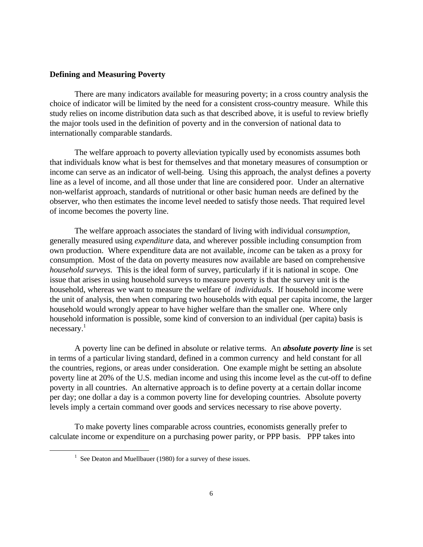#### **Defining and Measuring Poverty**

There are many indicators available for measuring poverty; in a cross country analysis the choice of indicator will be limited by the need for a consistent cross-country measure. While this study relies on income distribution data such as that described above, it is useful to review briefly the major tools used in the definition of poverty and in the conversion of national data to internationally comparable standards.

The welfare approach to poverty alleviation typically used by economists assumes both that individuals know what is best for themselves and that monetary measures of consumption or income can serve as an indicator of well-being. Using this approach, the analyst defines a poverty line as a level of income, and all those under that line are considered poor. Under an alternative non-welfarist approach, standards of nutritional or other basic human needs are defined by the observer, who then estimates the income level needed to satisfy those needs. That required level of income becomes the poverty line.

The welfare approach associates the standard of living with individual *consumption*, generally measured using *expenditure* data, and wherever possible including consumption from own production. Where expenditure data are not available, *income* can be taken as a proxy for consumption. Most of the data on poverty measures now available are based on comprehensive *household surveys.* This is the ideal form of survey, particularly if it is national in scope. One issue that arises in using household surveys to measure poverty is that the survey unit is the household, whereas we want to measure the welfare of *individuals*. If household income were the unit of analysis, then when comparing two households with equal per capita income, the larger household would wrongly appear to have higher welfare than the smaller one. Where only household information is possible, some kind of conversion to an individual (per capita) basis is necessary.<sup>1</sup>

A poverty line can be defined in absolute or relative terms. An *absolute poverty line* is set in terms of a particular living standard, defined in a common currency and held constant for all the countries, regions, or areas under consideration. One example might be setting an absolute poverty line at 20% of the U.S. median income and using this income level as the cut-off to define poverty in all countries. An alternative approach is to define poverty at a certain dollar income per day; one dollar a day is a common poverty line for developing countries. Absolute poverty levels imply a certain command over goods and services necessary to rise above poverty.

To make poverty lines comparable across countries, economists generally prefer to calculate income or expenditure on a purchasing power parity, or PPP basis. PPP takes into

<u>.</u>

<sup>&</sup>lt;sup>1</sup> See Deaton and Muellbauer (1980) for a survey of these issues.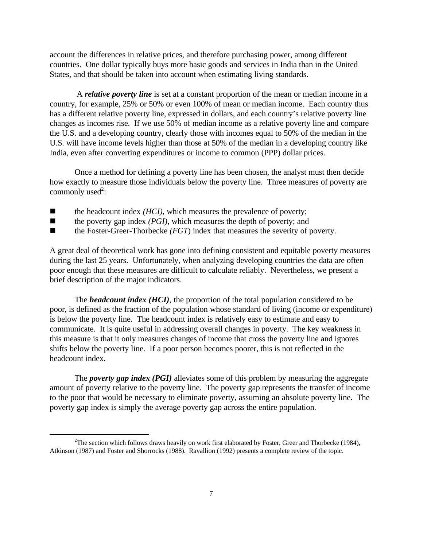account the differences in relative prices, and therefore purchasing power, among different countries. One dollar typically buys more basic goods and services in India than in the United States, and that should be taken into account when estimating living standards.

 A *relative poverty line* is set at a constant proportion of the mean or median income in a country, for example, 25% or 50% or even 100% of mean or median income. Each country thus has a different relative poverty line, expressed in dollars, and each country's relative poverty line changes as incomes rise. If we use 50% of median income as a relative poverty line and compare the U.S. and a developing country, clearly those with incomes equal to 50% of the median in the U.S. will have income levels higher than those at 50% of the median in a developing country like India, even after converting expenditures or income to common (PPP) dollar prices.

Once a method for defining a poverty line has been chosen, the analyst must then decide how exactly to measure those individuals below the poverty line. Three measures of poverty are commonly used<sup>2</sup>:

- $\blacksquare$  the headcount index *(HCI)*, which measures the prevalence of poverty;
- $\blacksquare$  the poverty gap index *(PGI)*, which measures the depth of poverty; and
- $\blacksquare$  the Foster-Greer-Thorbecke *(FGT)* index that measures the severity of poverty.

A great deal of theoretical work has gone into defining consistent and equitable poverty measures during the last 25 years. Unfortunately, when analyzing developing countries the data are often poor enough that these measures are difficult to calculate reliably. Nevertheless, we present a brief description of the major indicators.

The *headcount index (HCI),* the proportion of the total population considered to be poor, is defined as the fraction of the population whose standard of living (income or expenditure) is below the poverty line. The headcount index is relatively easy to estimate and easy to communicate. It is quite useful in addressing overall changes in poverty. The key weakness in this measure is that it only measures changes of income that cross the poverty line and ignores shifts below the poverty line. If a poor person becomes poorer, this is not reflected in the headcount index.

The *poverty gap index (PGI)* alleviates some of this problem by measuring the aggregate amount of poverty relative to the poverty line. The poverty gap represents the transfer of income to the poor that would be necessary to eliminate poverty, assuming an absolute poverty line. The poverty gap index is simply the average poverty gap across the entire population.

-

<sup>&</sup>lt;sup>2</sup>The section which follows draws heavily on work first elaborated by Foster, Greer and Thorbecke (1984), Atkinson (1987) and Foster and Shorrocks (1988). Ravallion (1992) presents a complete review of the topic.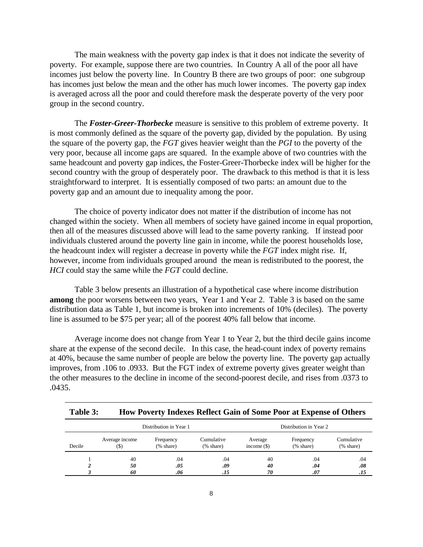The main weakness with the poverty gap index is that it does not indicate the severity of poverty. For example, suppose there are two countries. In Country A all of the poor all have incomes just below the poverty line. In Country B there are two groups of poor: one subgroup has incomes just below the mean and the other has much lower incomes. The poverty gap index is averaged across all the poor and could therefore mask the desperate poverty of the very poor group in the second country.

The *Foster-Greer-Thorbecke* measure is sensitive to this problem of extreme poverty. It is most commonly defined as the square of the poverty gap, divided by the population. By using the square of the poverty gap, the *FGT* gives heavier weight than the *PGI* to the poverty of the very poor, because all income gaps are squared. In the example above of two countries with the same headcount and poverty gap indices, the Foster-Greer-Thorbecke index will be higher for the second country with the group of desperately poor. The drawback to this method is that it is less straightforward to interpret. It is essentially composed of two parts: an amount due to the poverty gap and an amount due to inequality among the poor.

The choice of poverty indicator does not matter if the distribution of income has not changed within the society. When all members of society have gained income in equal proportion, then all of the measures discussed above will lead to the same poverty ranking. If instead poor individuals clustered around the poverty line gain in income, while the poorest households lose, the headcount index will register a decrease in poverty while the *FGT* index might rise. If, however, income from individuals grouped around the mean is redistributed to the poorest, the *HCI* could stay the same while the *FGT* could decline.

Table 3 below presents an illustration of a hypothetical case where income distribution **among** the poor worsens between two years, Year 1 and Year 2. Table 3 is based on the same distribution data as Table 1, but income is broken into increments of 10% (deciles). The poverty line is assumed to be \$75 per year; all of the poorest 40% fall below that income.

Average income does not change from Year 1 to Year 2, but the third decile gains income share at the expense of the second decile. In this case, the head-count index of poverty remains at 40%, because the same number of people are below the poverty line. The poverty gap actually improves, from .106 to .0933. But the FGT index of extreme poverty gives greater weight than the other measures to the decline in income of the second-poorest decile, and rises from .0373 to .0435.

| Table 3: | How Poverty Indexes Reflect Gain of Some Poor at Expense of Others |
|----------|--------------------------------------------------------------------|
|----------|--------------------------------------------------------------------|

|        | Distribution in Year 1                                            |            |                                          |                          | Distribution in Year 2                  |                                          |
|--------|-------------------------------------------------------------------|------------|------------------------------------------|--------------------------|-----------------------------------------|------------------------------------------|
| Decile | Average income<br>Frequency<br>$(% \mathbf{A})$ (% share)<br>(\$) |            | Cumulative<br>$(% \mathbf{A})$ (% share) | Average<br>income $(\$)$ | Frequency<br>$(% \mathbf{A})$ (% share) | Cumulative<br>$(% \mathbf{A})$ (% share) |
|        | 40<br>50                                                          | .04<br>.05 | .04<br>.09                               | 40<br>40                 | .04<br>.04                              | .04<br>.08                               |
|        | 60                                                                | .06        | .15                                      | 70                       | .07                                     | .15                                      |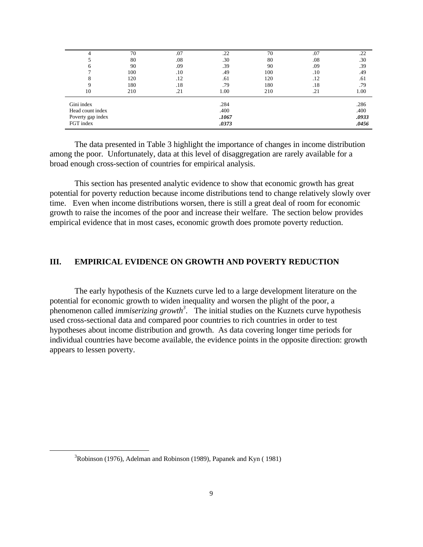| 70  | .07 | .22   | 70   | .07 | .22   |
|-----|-----|-------|------|-----|-------|
| 80  | .08 | .30   | 80   | .08 | .30   |
| 90  | .09 | .39   | 90   | .09 | .39   |
| 100 | .10 | .49   | 100  | .10 | .49   |
| 120 | .12 | .61   | 120  | .12 | .61   |
| 180 | .18 | .79   | 180  | .18 | .79   |
| 210 | .21 | 1.00  | 210  | .21 | 1.00  |
|     |     |       |      |     | .286  |
|     |     | .400  |      |     | .400  |
|     |     | .1067 |      |     | .0933 |
|     |     | .0373 |      |     | .0456 |
|     |     |       | .284 |     |       |

The data presented in Table 3 highlight the importance of changes in income distribution among the poor. Unfortunately, data at this level of disaggregation are rarely available for a broad enough cross-section of countries for empirical analysis.

This section has presented analytic evidence to show that economic growth has great potential for poverty reduction because income distributions tend to change relatively slowly over time. Even when income distributions worsen, there is still a great deal of room for economic growth to raise the incomes of the poor and increase their welfare. The section below provides empirical evidence that in most cases, economic growth does promote poverty reduction.

#### **III. EMPIRICAL EVIDENCE ON GROWTH AND POVERTY REDUCTION**

The early hypothesis of the Kuznets curve led to a large development literature on the potential for economic growth to widen inequality and worsen the plight of the poor, a phenomenon called *immiserizing growth<sup>3</sup>* . The initial studies on the Kuznets curve hypothesis used cross-sectional data and compared poor countries to rich countries in order to test hypotheses about income distribution and growth. As data covering longer time periods for individual countries have become available, the evidence points in the opposite direction: growth appears to lessen poverty.

<u>.</u>

 $3Robinson$  (1976), Adelman and Robinson (1989), Papanek and Kyn (1981)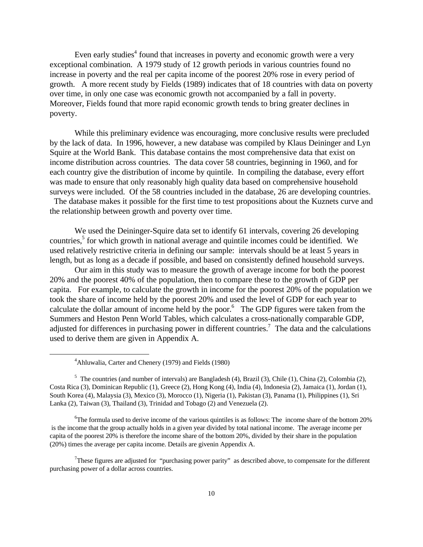Even early studies<sup>4</sup> found that increases in poverty and economic growth were a very exceptional combination. A 1979 study of 12 growth periods in various countries found no increase in poverty and the real per capita income of the poorest 20% rose in every period of growth. A more recent study by Fields (1989) indicates that of 18 countries with data on poverty over time, in only one case was economic growth not accompanied by a fall in poverty. Moreover, Fields found that more rapid economic growth tends to bring greater declines in poverty.

While this preliminary evidence was encouraging, more conclusive results were precluded by the lack of data. In 1996, however, a new database was compiled by Klaus Deininger and Lyn Squire at the World Bank. This database contains the most comprehensive data that exist on income distribution across countries. The data cover 58 countries, beginning in 1960, and for each country give the distribution of income by quintile. In compiling the database, every effort was made to ensure that only reasonably high quality data based on comprehensive household surveys were included. Of the 58 countries included in the database, 26 are developing countries.

 The database makes it possible for the first time to test propositions about the Kuznets curve and the relationship between growth and poverty over time.

We used the Deininger-Squire data set to identify 61 intervals, covering 26 developing countries,<sup>5</sup> for which growth in national average and quintile incomes could be identified. We used relatively restrictive criteria in defining our sample: intervals should be at least 5 years in length, but as long as a decade if possible, and based on consistently defined household surveys.

Our aim in this study was to measure the growth of average income for both the poorest 20% and the poorest 40% of the population, then to compare these to the growth of GDP per capita. For example, to calculate the growth in income for the poorest 20% of the population we took the share of income held by the poorest 20% and used the level of GDP for each year to calculate the dollar amount of income held by the poor. $6$  The GDP figures were taken from the Summers and Heston Penn World Tables, which calculates a cross-nationally comparable GDP, adjusted for differences in purchasing power in different countries.<sup>7</sup> The data and the calculations used to derive them are given in Appendix A.

-

<sup>6</sup>The formula used to derive income of the various quintiles is as follows: The income share of the bottom 20% is the income that the group actually holds in a given year divided by total national income. The average income per capita of the poorest 20% is therefore the income share of the bottom 20%, divided by their share in the population (20%) times the average per capita income. Details are givenin Appendix A.

<sup>4</sup>Ahluwalia, Carter and Chenery (1979) and Fields (1980)

<sup>&</sup>lt;sup>5</sup> The countries (and number of intervals) are Bangladesh (4), Brazil (3), Chile (1), China (2), Colombia (2), Costa Rica (3), Dominican Republic (1), Greece (2), Hong Kong (4), India (4), Indonesia (2), Jamaica (1), Jordan (1), South Korea (4), Malaysia (3), Mexico (3), Morocco (1), Nigeria (1), Pakistan (3), Panama (1), Philippines (1), Sri Lanka (2), Taiwan (3), Thailand (3), Trinidad and Tobago (2) and Venezuela (2).

<sup>&</sup>lt;sup>7</sup>These figures are adjusted for "purchasing power parity" as described above, to compensate for the different purchasing power of a dollar across countries.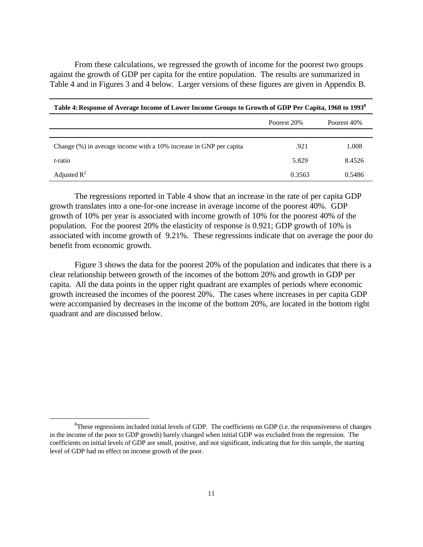From these calculations, we regressed the growth of income for the poorest two groups against the growth of GDP per capita for the entire population. The results are summarized in Table 4 and in Figures 3 and 4 below. Larger versions of these figures are given in Appendix B.

| Table 4: Response of Average Income of Lower Income Groups to Growth of GDP Per Capita, 1960 to 1993 <sup>8</sup> |             |             |  |  |  |
|-------------------------------------------------------------------------------------------------------------------|-------------|-------------|--|--|--|
|                                                                                                                   | Poorest 20% | Poorest 40% |  |  |  |
|                                                                                                                   |             |             |  |  |  |
| Change (%) in average income with a 10% increase in GNP per capita                                                | .921        | 1.008       |  |  |  |
| <i>t</i> -ratio                                                                                                   | 5.829       | 8.4526      |  |  |  |
| Adjusted $R^2$                                                                                                    | 0.3563      | 0.5486      |  |  |  |

The regressions reported in Table 4 show that an increase in the rate of per capita GDP growth translates into a one-for-one increase in average income of the poorest 40%. GDP growth of 10% per year is associated with income growth of 10% for the poorest 40% of the population. For the poorest 20% the elasticity of response is 0.921; GDP growth of 10% is associated with income growth of 9.21%. These regressions indicate that on average the poor do benefit from economic growth.

Figure 3 shows the data for the poorest 20% of the population and indicates that there is a clear relationship between growth of the incomes of the bottom 20% and growth in GDP per capita. All the data points in the upper right quadrant are examples of periods where economic growth increased the incomes of the poorest 20%. The cases where increases in per capita GDP were accompanied by decreases in the income of the bottom 20%, are located in the bottom right quadrant and are discussed below.

 ${}^{8}$ These regressions included initial levels of GDP. The coefficients on GDP (i.e. the responsiveness of changes in the income of the poor to GDP growth) barely changed when initial GDP was excluded from the regression. The coefficients on initial levels of GDP are small, positive, and not significant, indicating that for this sample, the starting level of GDP had no effect on income growth of the poor.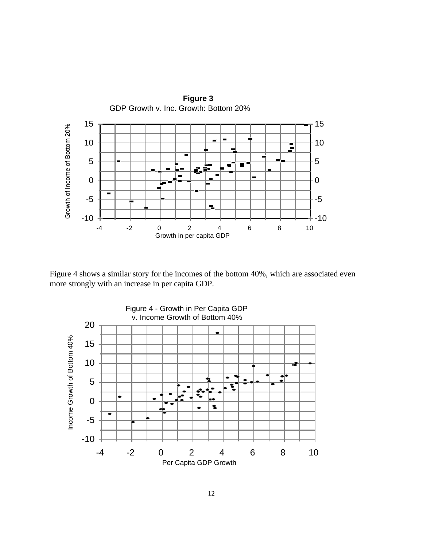

Figure 4 shows a similar story for the incomes of the bottom 40%, which are associated even more strongly with an increase in per capita GDP.

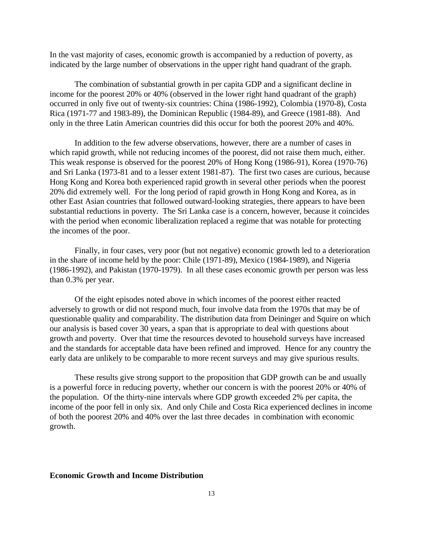In the vast majority of cases, economic growth is accompanied by a reduction of poverty, as indicated by the large number of observations in the upper right hand quadrant of the graph.

The combination of substantial growth in per capita GDP and a significant decline in income for the poorest 20% or 40% (observed in the lower right hand quadrant of the graph) occurred in only five out of twenty-six countries: China (1986-1992), Colombia (1970-8), Costa Rica (1971-77 and 1983-89), the Dominican Republic (1984-89), and Greece (1981-88). And only in the three Latin American countries did this occur for both the poorest 20% and 40%.

In addition to the few adverse observations, however, there are a number of cases in which rapid growth, while not reducing incomes of the poorest, did not raise them much, either. This weak response is observed for the poorest 20% of Hong Kong (1986-91), Korea (1970-76) and Sri Lanka (1973-81 and to a lesser extent 1981-87). The first two cases are curious, because Hong Kong and Korea both experienced rapid growth in several other periods when the poorest 20% did extremely well. For the long period of rapid growth in Hong Kong and Korea, as in other East Asian countries that followed outward-looking strategies, there appears to have been substantial reductions in poverty. The Sri Lanka case is a concern, however, because it coincides with the period when economic liberalization replaced a regime that was notable for protecting the incomes of the poor.

Finally, in four cases, very poor (but not negative) economic growth led to a deterioration in the share of income held by the poor: Chile (1971-89), Mexico (1984-1989), and Nigeria (1986-1992), and Pakistan (1970-1979). In all these cases economic growth per person was less than 0.3% per year.

Of the eight episodes noted above in which incomes of the poorest either reacted adversely to growth or did not respond much, four involve data from the 1970s that may be of questionable quality and comparability. The distribution data from Deininger and Squire on which our analysis is based cover 30 years, a span that is appropriate to deal with questions about growth and poverty. Over that time the resources devoted to household surveys have increased and the standards for acceptable data have been refined and improved. Hence for any country the early data are unlikely to be comparable to more recent surveys and may give spurious results.

These results give strong support to the proposition that GDP growth can be and usually is a powerful force in reducing poverty, whether our concern is with the poorest 20% or 40% of the population. Of the thirty-nine intervals where GDP growth exceeded 2% per capita, the income of the poor fell in only six. And only Chile and Costa Rica experienced declines in income of both the poorest 20% and 40% over the last three decades in combination with economic growth.

#### **Economic Growth and Income Distribution**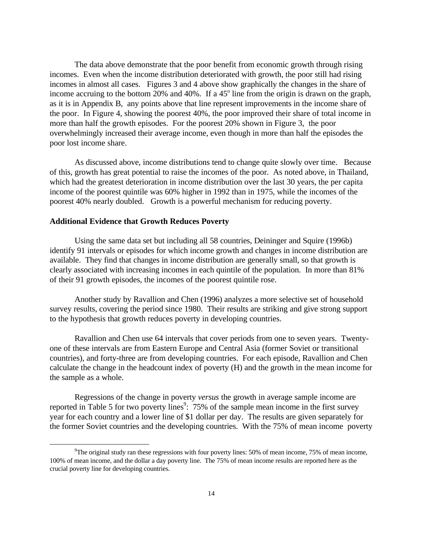The data above demonstrate that the poor benefit from economic growth through rising incomes. Even when the income distribution deteriorated with growth, the poor still had rising incomes in almost all cases. Figures 3 and 4 above show graphically the changes in the share of income accruing to the bottom 20% and 40%. If a  $45^{\circ}$  line from the origin is drawn on the graph, as it is in Appendix B, any points above that line represent improvements in the income share of the poor. In Figure 4, showing the poorest 40%, the poor improved their share of total income in more than half the growth episodes. For the poorest 20% shown in Figure 3, the poor overwhelmingly increased their average income, even though in more than half the episodes the poor lost income share.

As discussed above, income distributions tend to change quite slowly over time. Because of this, growth has great potential to raise the incomes of the poor. As noted above, in Thailand, which had the greatest deterioration in income distribution over the last 30 years, the per capita income of the poorest quintile was 60% higher in 1992 than in 1975, while the incomes of the poorest 40% nearly doubled. Growth is a powerful mechanism for reducing poverty.

#### **Additional Evidence that Growth Reduces Poverty**

 $\overline{a}$ 

Using the same data set but including all 58 countries, Deininger and Squire (1996b) identify 91 intervals or episodes for which income growth and changes in income distribution are available. They find that changes in income distribution are generally small, so that growth is clearly associated with increasing incomes in each quintile of the population. In more than 81% of their 91 growth episodes, the incomes of the poorest quintile rose.

Another study by Ravallion and Chen (1996) analyzes a more selective set of household survey results, covering the period since 1980. Their results are striking and give strong support to the hypothesis that growth reduces poverty in developing countries.

Ravallion and Chen use 64 intervals that cover periods from one to seven years. Twentyone of these intervals are from Eastern Europe and Central Asia (former Soviet or transitional countries), and forty-three are from developing countries. For each episode, Ravallion and Chen calculate the change in the headcount index of poverty (H) and the growth in the mean income for the sample as a whole.

Regressions of the change in poverty *versus* the growth in average sample income are reported in Table 5 for two poverty lines<sup>9</sup>: 75% of the sample mean income in the first survey year for each country and a lower line of \$1 dollar per day. The results are given separately for the former Soviet countries and the developing countries. With the 75% of mean income poverty

<sup>&</sup>lt;sup>9</sup>The original study ran these regressions with four poverty lines: 50% of mean income, 75% of mean income, 100% of mean income, and the dollar a day poverty line. The 75% of mean income results are reported here as the crucial poverty line for developing countries.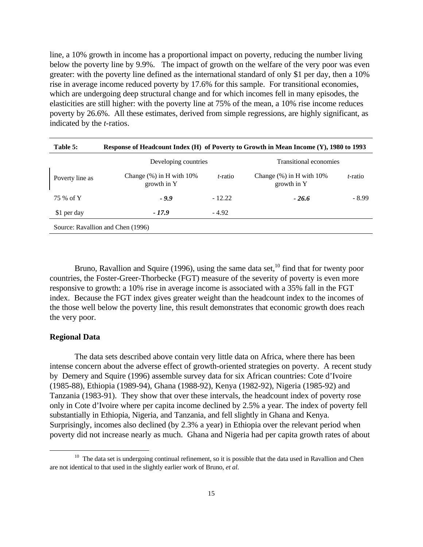line, a 10% growth in income has a proportional impact on poverty, reducing the number living below the poverty line by 9.9%. The impact of growth on the welfare of the very poor was even greater: with the poverty line defined as the international standard of only \$1 per day, then a 10% rise in average income reduced poverty by 17.6% for this sample. For transitional economies, which are undergoing deep structural change and for which incomes fell in many episodes, the elasticities are still higher: with the poverty line at 75% of the mean, a 10% rise income reduces poverty by 26.6%. All these estimates, derived from simple regressions, are highly significant, as indicated by the *t*-ratios.

| Table 5:        | Response of Headcount Index (H) of Poverty to Growth in Mean Income (Y), 1980 to 1993 |                 |                                               |                 |
|-----------------|---------------------------------------------------------------------------------------|-----------------|-----------------------------------------------|-----------------|
|                 | Developing countries                                                                  |                 | Transitional economies                        |                 |
| Poverty line as | Change $(\%)$ in H with $10\%$<br>growth in Y                                         | <i>t</i> -ratio | Change $(\%)$ in H with $10\%$<br>growth in Y | <i>t</i> -ratio |
| 75 % of Y       | $-9.9$                                                                                | $-12.22$        | $-26.6$                                       | $-8.99$         |
| \$1 per day     | $-17.9$                                                                               | $-4.92$         |                                               |                 |
|                 | Source: Ravallion and Chen (1996)                                                     |                 |                                               |                 |

Bruno, Ravallion and Squire (1996), using the same data set, $^{10}$  find that for twenty poor countries, the Foster-Greer-Thorbecke (FGT) measure of the severity of poverty is even more responsive to growth: a 10% rise in average income is associated with a 35% fall in the FGT index. Because the FGT index gives greater weight than the headcount index to the incomes of the those well below the poverty line, this result demonstrates that economic growth does reach the very poor.

#### **Regional Data**

<u>.</u>

The data sets described above contain very little data on Africa, where there has been intense concern about the adverse effect of growth-oriented strategies on poverty. A recent study by Demery and Squire (1996) assemble survey data for six African countries: Cote d'Ivoire (1985-88), Ethiopia (1989-94), Ghana (1988-92), Kenya (1982-92), Nigeria (1985-92) and Tanzania (1983-91). They show that over these intervals, the headcount index of poverty rose only in Cote d'Ivoire where per capita income declined by 2.5% a year. The index of poverty fell substantially in Ethiopia, Nigeria, and Tanzania, and fell slightly in Ghana and Kenya. Surprisingly, incomes also declined (by 2.3% a year) in Ethiopia over the relevant period when poverty did not increase nearly as much. Ghana and Nigeria had per capita growth rates of about

 $10$  The data set is undergoing continual refinement, so it is possible that the data used in Ravallion and Chen are not identical to that used in the slightly earlier work of Bruno, *et al.*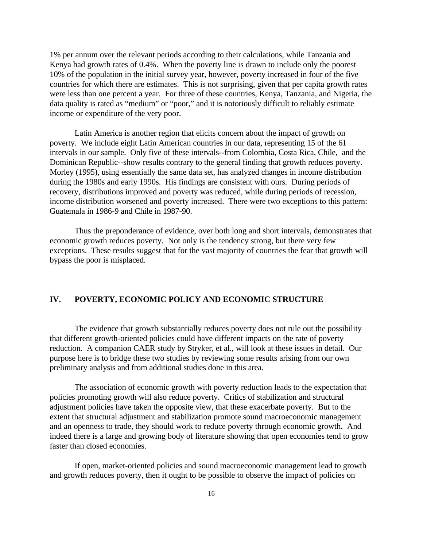1% per annum over the relevant periods according to their calculations, while Tanzania and Kenya had growth rates of 0.4%. When the poverty line is drawn to include only the poorest 10% of the population in the initial survey year, however, poverty increased in four of the five countries for which there are estimates. This is not surprising, given that per capita growth rates were less than one percent a year. For three of these countries, Kenya, Tanzania, and Nigeria, the data quality is rated as "medium" or "poor," and it is notoriously difficult to reliably estimate income or expenditure of the very poor.

Latin America is another region that elicits concern about the impact of growth on poverty. We include eight Latin American countries in our data, representing 15 of the 61 intervals in our sample. Only five of these intervals--from Colombia, Costa Rica, Chile, and the Dominican Republic--show results contrary to the general finding that growth reduces poverty. Morley (1995), using essentially the same data set, has analyzed changes in income distribution during the 1980s and early 1990s. His findings are consistent with ours. During periods of recovery, distributions improved and poverty was reduced, while during periods of recession, income distribution worsened and poverty increased. There were two exceptions to this pattern: Guatemala in 1986-9 and Chile in 1987-90.

Thus the preponderance of evidence, over both long and short intervals, demonstrates that economic growth reduces poverty. Not only is the tendency strong, but there very few exceptions. These results suggest that for the vast majority of countries the fear that growth will bypass the poor is misplaced.

#### **IV. POVERTY, ECONOMIC POLICY AND ECONOMIC STRUCTURE**

The evidence that growth substantially reduces poverty does not rule out the possibility that different growth-oriented policies could have different impacts on the rate of poverty reduction. A companion CAER study by Stryker, et al., will look at these issues in detail. Our purpose here is to bridge these two studies by reviewing some results arising from our own preliminary analysis and from additional studies done in this area.

The association of economic growth with poverty reduction leads to the expectation that policies promoting growth will also reduce poverty. Critics of stabilization and structural adjustment policies have taken the opposite view, that these exacerbate poverty. But to the extent that structural adjustment and stabilization promote sound macroeconomic management and an openness to trade, they should work to reduce poverty through economic growth. And indeed there is a large and growing body of literature showing that open economies tend to grow faster than closed economies.

If open, market-oriented policies and sound macroeconomic management lead to growth and growth reduces poverty, then it ought to be possible to observe the impact of policies on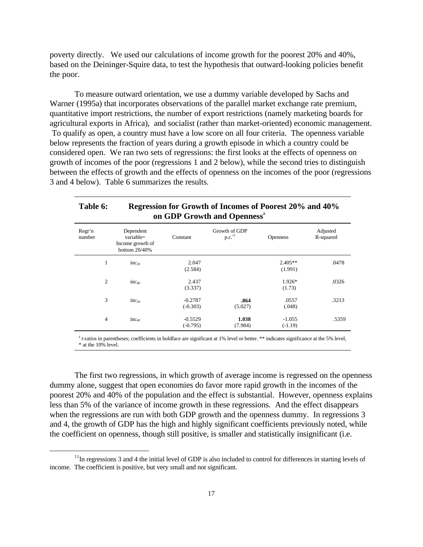poverty directly. We used our calculations of income growth for the poorest 20% and 40%, based on the Deininger-Squire data, to test the hypothesis that outward-looking policies benefit the poor.

To measure outward orientation, we use a dummy variable developed by Sachs and Warner (1995a) that incorporates observations of the parallel market exchange rate premium, quantitative import restrictions, the number of export restrictions (namely marketing boards for agricultural exports in Africa), and socialist (rather than market-oriented) economic management. To qualify as open, a country must have a low score on all four criteria. The openness variable below represents the fraction of years during a growth episode in which a country could be considered open. We ran two sets of regressions: the first looks at the effects of openness on growth of incomes of the poor (regressions 1 and 2 below), while the second tries to distinguish between the effects of growth and the effects of openness on the incomes of the poor (regressions 3 and 4 below). Table 6 summarizes the results.

#### **Table 6: Regression for Growth of Incomes of Poorest 20% and 40% on GDP Growth and Openness**<sup>a</sup>

| Regr'n<br>number | Dependent<br>variable=<br>Income growth of<br>bottom 20/40% | Constant                | Growth of GDP<br>p.c. <sup>11</sup> | <b>Openness</b>       | Adjusted<br>R-squared |
|------------------|-------------------------------------------------------------|-------------------------|-------------------------------------|-----------------------|-----------------------|
| 1                | $inc_{20}$                                                  | 2.047<br>(2.584)        |                                     | $2.405**$<br>(1.991)  | .0478                 |
| $\overline{2}$   | $inc_{40}$                                                  | 2.437<br>(3.337)        |                                     | 1.926*<br>(1.73)      | .0326                 |
| 3                | $inc_{20}$                                                  | $-0.2787$<br>$(-0.303)$ | .864<br>(5.027)                     | .0557<br>(.048)       | .3213                 |
| $\overline{4}$   | $inc_{40}$                                                  | $-0.5529$<br>$(-0.795)$ | 1.038<br>(7.984)                    | $-1.055$<br>$(-1.19)$ | .5359                 |

<sup>a</sup> *t*-ratios in parentheses; coefficients in boldface are significant at 1% level or better. \*\* indicates significance at the 5% level, \* at the 10% level.

The first two regressions, in which growth of average income is regressed on the openness dummy alone, suggest that open economies do favor more rapid growth in the incomes of the poorest 20% and 40% of the population and the effect is substantial. However, openness explains less than 5% of the variance of income growth in these regressions. And the effect disappears when the regressions are run with both GDP growth and the openness dummy. In regressions 3 and 4, the growth of GDP has the high and highly significant coefficients previously noted, while the coefficient on openness, though still positive, is smaller and statistically insignificant (i.e.

 $11$ In regressions 3 and 4 the initial level of GDP is also included to control for differences in starting levels of income. The coefficient is positive, but very small and not significant.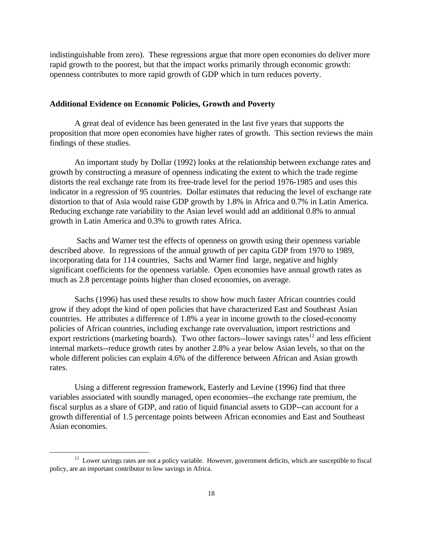indistinguishable from zero). These regressions argue that more open economies do deliver more rapid growth to the poorest, but that the impact works primarily through economic growth: openness contributes to more rapid growth of GDP which in turn reduces poverty.

#### **Additional Evidence on Economic Policies, Growth and Poverty**

A great deal of evidence has been generated in the last five years that supports the proposition that more open economies have higher rates of growth. This section reviews the main findings of these studies.

An important study by Dollar (1992) looks at the relationship between exchange rates and growth by constructing a measure of openness indicating the extent to which the trade regime distorts the real exchange rate from its free-trade level for the period 1976-1985 and uses this indicator in a regression of 95 countries. Dollar estimates that reducing the level of exchange rate distortion to that of Asia would raise GDP growth by 1.8% in Africa and 0.7% in Latin America. Reducing exchange rate variability to the Asian level would add an additional 0.8% to annual growth in Latin America and 0.3% to growth rates Africa.

 Sachs and Warner test the effects of openness on growth using their openness variable described above. In regressions of the annual growth of per capita GDP from 1970 to 1989, incorporating data for 114 countries, Sachs and Warner find large, negative and highly significant coefficients for the openness variable. Open economies have annual growth rates as much as 2.8 percentage points higher than closed economies, on average.

Sachs (1996) has used these results to show how much faster African countries could grow if they adopt the kind of open policies that have characterized East and Southeast Asian countries. He attributes a difference of 1.8% a year in income growth to the closed-economy policies of African countries, including exchange rate overvaluation, import restrictions and export restrictions (marketing boards). Two other factors--lower savings rates<sup>12</sup> and less efficient internal markets--reduce growth rates by another 2.8% a year below Asian levels, so that on the whole different policies can explain 4.6% of the difference between African and Asian growth rates.

Using a different regression framework, Easterly and Levine (1996) find that three variables associated with soundly managed, open economies--the exchange rate premium, the fiscal surplus as a share of GDP, and ratio of liquid financial assets to GDP--can account for a growth differential of 1.5 percentage points between African economies and East and Southeast Asian economies.

<sup>&</sup>lt;sup>12</sup> Lower savings rates are not a policy variable. However, government deficits, which are susceptible to fiscal policy, are an important contributor to low savings in Africa.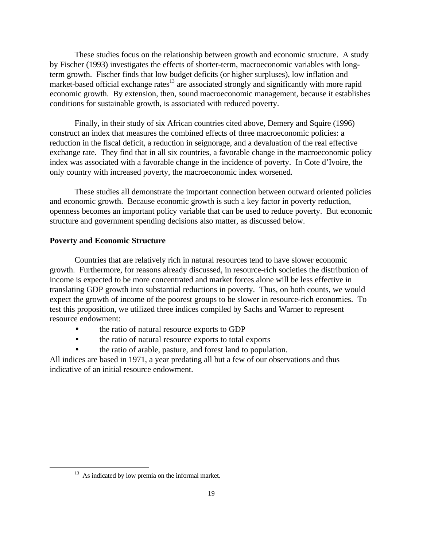These studies focus on the relationship between growth and economic structure. A study by Fischer (1993) investigates the effects of shorter-term, macroeconomic variables with longterm growth. Fischer finds that low budget deficits (or higher surpluses), low inflation and market-based official exchange rates $^{13}$  are associated strongly and significantly with more rapid economic growth. By extension, then, sound macroeconomic management, because it establishes conditions for sustainable growth, is associated with reduced poverty.

Finally, in their study of six African countries cited above, Demery and Squire (1996) construct an index that measures the combined effects of three macroeconomic policies: a reduction in the fiscal deficit, a reduction in seignorage, and a devaluation of the real effective exchange rate. They find that in all six countries, a favorable change in the macroeconomic policy index was associated with a favorable change in the incidence of poverty. In Cote d'Ivoire, the only country with increased poverty, the macroeconomic index worsened.

These studies all demonstrate the important connection between outward oriented policies and economic growth. Because economic growth is such a key factor in poverty reduction, openness becomes an important policy variable that can be used to reduce poverty. But economic structure and government spending decisions also matter, as discussed below.

#### **Poverty and Economic Structure**

Countries that are relatively rich in natural resources tend to have slower economic growth. Furthermore, for reasons already discussed, in resource-rich societies the distribution of income is expected to be more concentrated and market forces alone will be less effective in translating GDP growth into substantial reductions in poverty. Thus, on both counts, we would expect the growth of income of the poorest groups to be slower in resource-rich economies. To test this proposition, we utilized three indices compiled by Sachs and Warner to represent resource endowment:

- the ratio of natural resource exports to GDP
- the ratio of natural resource exports to total exports
- the ratio of arable, pasture, and forest land to population.

All indices are based in 1971, a year predating all but a few of our observations and thus indicative of an initial resource endowment.

<sup>&</sup>lt;sup>13</sup> As indicated by low premia on the informal market.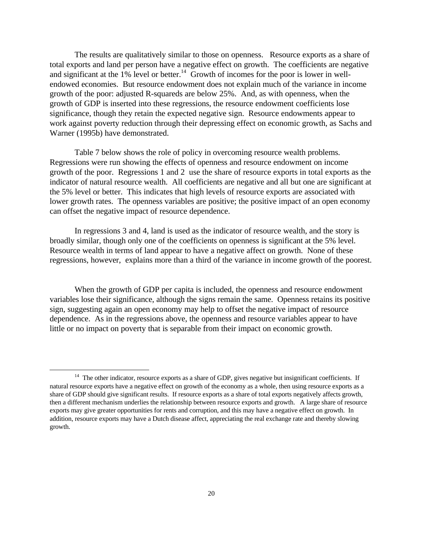The results are qualitatively similar to those on openness. Resource exports as a share of total exports and land per person have a negative effect on growth. The coefficients are negative and significant at the 1% level or better.<sup>14</sup> Growth of incomes for the poor is lower in wellendowed economies. But resource endowment does not explain much of the variance in income growth of the poor: adjusted R-squareds are below 25%. And, as with openness, when the growth of GDP is inserted into these regressions, the resource endowment coefficients lose significance, though they retain the expected negative sign. Resource endowments appear to work against poverty reduction through their depressing effect on economic growth, as Sachs and Warner (1995b) have demonstrated.

Table 7 below shows the role of policy in overcoming resource wealth problems. Regressions were run showing the effects of openness and resource endowment on income growth of the poor. Regressions 1 and 2 use the share of resource exports in total exports as the indicator of natural resource wealth. All coefficients are negative and all but one are significant at the 5% level or better. This indicates that high levels of resource exports are associated with lower growth rates. The openness variables are positive; the positive impact of an open economy can offset the negative impact of resource dependence.

In regressions 3 and 4, land is used as the indicator of resource wealth, and the story is broadly similar, though only one of the coefficients on openness is significant at the 5% level. Resource wealth in terms of land appear to have a negative affect on growth. None of these regressions, however, explains more than a third of the variance in income growth of the poorest.

When the growth of GDP per capita is included, the openness and resource endowment variables lose their significance, although the signs remain the same. Openness retains its positive sign, suggesting again an open economy may help to offset the negative impact of resource dependence. As in the regressions above, the openness and resource variables appear to have little or no impact on poverty that is separable from their impact on economic growth.

<sup>&</sup>lt;sup>14</sup> The other indicator, resource exports as a share of GDP, gives negative but insignificant coefficients. If natural resource exports have a negative effect on growth of the economy as a whole, then using resource exports as a share of GDP should give significant results. If resource exports as a share of total exports negatively affects growth, then a different mechanism underlies the relationship between resource exports and growth. A large share of resource exports may give greater opportunities for rents and corruption, and this may have a negative effect on growth. In addition, resource exports may have a Dutch disease affect, appreciating the real exchange rate and thereby slowing growth.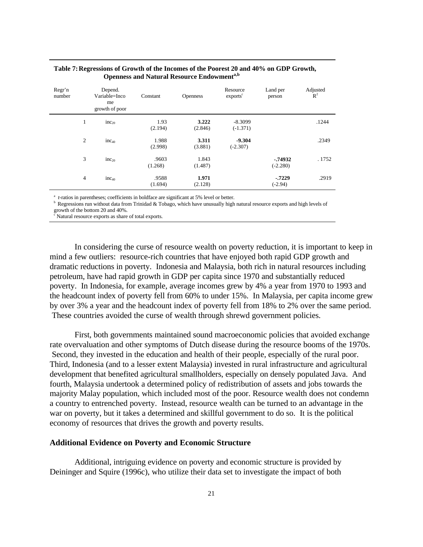| Regr'n<br>number | Depend.<br>Variable=Inco<br>me<br>growth of poor | Constant         | <b>Openness</b>  | Resource<br>exports <sup>c</sup> | Land per<br>person     | Adjusted<br>$R^2$ |
|------------------|--------------------------------------------------|------------------|------------------|----------------------------------|------------------------|-------------------|
| 1                | $inc_{20}$                                       | 1.93<br>(2.194)  | 3.222<br>(2.846) | $-8.3099$<br>$(-1.371)$          |                        | .1244             |
| 2                | $inc_{40}$                                       | 1.988<br>(2.998) | 3.311<br>(3.881) | $-9.304$<br>$(-2.307)$           |                        | .2349             |
| 3                | $inc_{20}$                                       | .9603<br>(1.268) | 1.843<br>(1.487) |                                  | $-74932$<br>$(-2.280)$ | . 1752            |
| $\overline{4}$   | $inc_{40}$                                       | .9588<br>(1.694) | 1.971<br>(2.128) |                                  | $-7229$<br>$(-2.94)$   | .2919             |

#### **Table 7:Regressions of Growth of the Incomes of the Poorest 20 and 40% on GDP Growth, Openness and Natural Resource Endowmenta,b**

<sup>a</sup> *t*-ratios in parentheses; coefficients in boldface are significant at 5% level or better.

b Regressions run without data from Trinidad & Tobago, which have unusually high natural resource exports and high levels of growth of the bottom 20 and 40%.

 $\epsilon$  Natural resource exports as share of total exports.

In considering the curse of resource wealth on poverty reduction, it is important to keep in mind a few outliers: resource-rich countries that have enjoyed both rapid GDP growth and dramatic reductions in poverty. Indonesia and Malaysia, both rich in natural resources including petroleum, have had rapid growth in GDP per capita since 1970 and substantially reduced poverty. In Indonesia, for example, average incomes grew by 4% a year from 1970 to 1993 and the headcount index of poverty fell from 60% to under 15%. In Malaysia, per capita income grew by over 3% a year and the headcount index of poverty fell from 18% to 2% over the same period. These countries avoided the curse of wealth through shrewd government policies.

First, both governments maintained sound macroeconomic policies that avoided exchange rate overvaluation and other symptoms of Dutch disease during the resource booms of the 1970s. Second, they invested in the education and health of their people, especially of the rural poor. Third, Indonesia (and to a lesser extent Malaysia) invested in rural infrastructure and agricultural development that benefited agricultural smallholders, especially on densely populated Java. And fourth, Malaysia undertook a determined policy of redistribution of assets and jobs towards the majority Malay population, which included most of the poor. Resource wealth does not condemn a country to entrenched poverty. Instead, resource wealth can be turned to an advantage in the war on poverty, but it takes a determined and skillful government to do so. It is the political economy of resources that drives the growth and poverty results.

#### **Additional Evidence on Poverty and Economic Structure**

Additional, intriguing evidence on poverty and economic structure is provided by Deininger and Squire (1996c), who utilize their data set to investigate the impact of both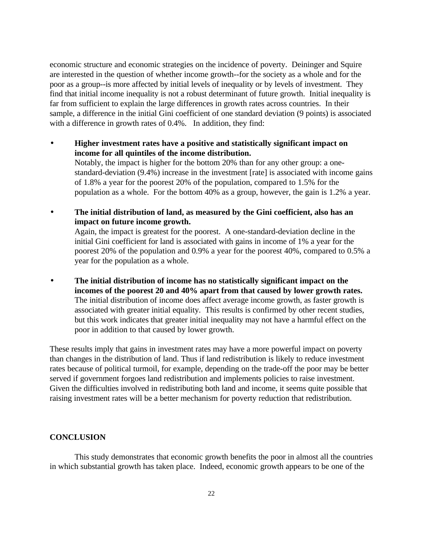economic structure and economic strategies on the incidence of poverty. Deininger and Squire are interested in the question of whether income growth--for the society as a whole and for the poor as a group--is more affected by initial levels of inequality or by levels of investment. They find that initial income inequality is not a robust determinant of future growth. Initial inequality is far from sufficient to explain the large differences in growth rates across countries. In their sample, a difference in the initial Gini coefficient of one standard deviation (9 points) is associated with a difference in growth rates of 0.4%. In addition, they find:

- **Higher investment rates have a positive and statistically significant impact on income for all quintiles of the income distribution.** Notably, the impact is higher for the bottom 20% than for any other group: a onestandard-deviation (9.4%) increase in the investment [rate] is associated with income gains of 1.8% a year for the poorest 20% of the population, compared to 1.5% for the population as a whole. For the bottom 40% as a group, however, the gain is 1.2% a year.
- **The initial distribution of land, as measured by the Gini coefficient, also has an impact on future income growth.**  Again, the impact is greatest for the poorest. A one-standard-deviation decline in the initial Gini coefficient for land is associated with gains in income of 1% a year for the poorest 20% of the population and 0.9% a year for the poorest 40%, compared to 0.5% a year for the population as a whole.
- **The initial distribution of income has no statistically significant impact on the incomes of the poorest 20 and 40% apart from that caused by lower growth rates.**  The initial distribution of income does affect average income growth, as faster growth is associated with greater initial equality. This results is confirmed by other recent studies, but this work indicates that greater initial inequality may not have a harmful effect on the poor in addition to that caused by lower growth.

These results imply that gains in investment rates may have a more powerful impact on poverty than changes in the distribution of land. Thus if land redistribution is likely to reduce investment rates because of political turmoil, for example, depending on the trade-off the poor may be better served if government forgoes land redistribution and implements policies to raise investment. Given the difficulties involved in redistributing both land and income, it seems quite possible that raising investment rates will be a better mechanism for poverty reduction that redistribution.

#### **CONCLUSION**

This study demonstrates that economic growth benefits the poor in almost all the countries in which substantial growth has taken place. Indeed, economic growth appears to be one of the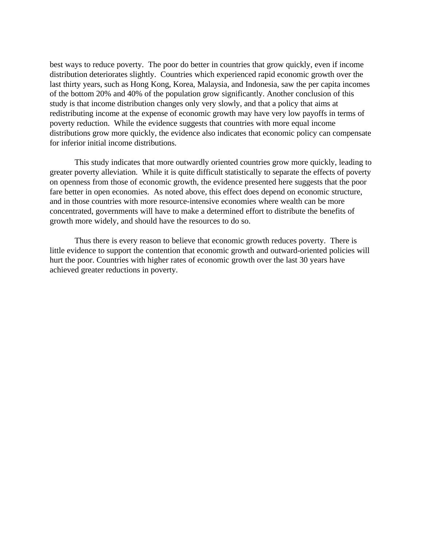best ways to reduce poverty. The poor do better in countries that grow quickly, even if income distribution deteriorates slightly. Countries which experienced rapid economic growth over the last thirty years, such as Hong Kong, Korea, Malaysia, and Indonesia, saw the per capita incomes of the bottom 20% and 40% of the population grow significantly. Another conclusion of this study is that income distribution changes only very slowly, and that a policy that aims at redistributing income at the expense of economic growth may have very low payoffs in terms of poverty reduction. While the evidence suggests that countries with more equal income distributions grow more quickly, the evidence also indicates that economic policy can compensate for inferior initial income distributions.

This study indicates that more outwardly oriented countries grow more quickly, leading to greater poverty alleviation. While it is quite difficult statistically to separate the effects of poverty on openness from those of economic growth, the evidence presented here suggests that the poor fare better in open economies. As noted above, this effect does depend on economic structure, and in those countries with more resource-intensive economies where wealth can be more concentrated, governments will have to make a determined effort to distribute the benefits of growth more widely, and should have the resources to do so.

Thus there is every reason to believe that economic growth reduces poverty. There is little evidence to support the contention that economic growth and outward-oriented policies will hurt the poor. Countries with higher rates of economic growth over the last 30 years have achieved greater reductions in poverty.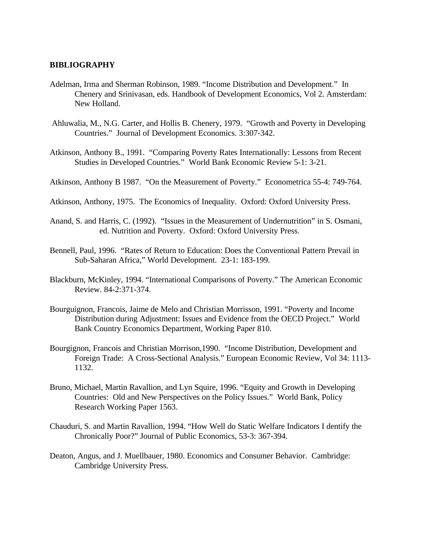#### **BIBLIOGRAPHY**

- Adelman, Irma and Sherman Robinson, 1989. "Income Distribution and Development." In Chenery and Srinivasan, eds. Handbook of Development Economics, Vol 2. Amsterdam: New Holland.
- Ahluwalia, M., N.G. Carter, and Hollis B. Chenery, 1979. "Growth and Poverty in Developing Countries." Journal of Development Economics. 3:307-342.
- Atkinson, Anthony B., 1991. "Comparing Poverty Rates Internationally: Lessons from Recent Studies in Developed Countries." World Bank Economic Review 5-1: 3-21.
- Atkinson, Anthony B 1987. "On the Measurement of Poverty." Econometrica 55-4: 749-764.
- Atkinson, Anthony, 1975. The Economics of Inequality. Oxford: Oxford University Press.
- Anand, S. and Harris, C. (1992). "Issues in the Measurement of Undernutrition" in S. Osmani, ed. Nutrition and Poverty. Oxford: Oxford University Press.
- Bennell, Paul, 1996. "Rates of Return to Education: Does the Conventional Pattern Prevail in Sub-Saharan Africa," World Development. 23-1: 183-199.
- Blackburn, McKinley, 1994. "International Comparisons of Poverty." The American Economic Review. 84-2:371-374.
- Bourguignon, Francois, Jaime de Melo and Christian Morrisson, 1991. "Poverty and Income Distribution during Adjustment: Issues and Evidence from the OECD Project." World Bank Country Economics Department, Working Paper 810.
- Bourgignon, Francois and Christian Morrison,1990. "Income Distribution, Development and Foreign Trade: A Cross-Sectional Analysis." European Economic Review, Vol 34: 1113- 1132.
- Bruno, Michael, Martin Ravallion, and Lyn Squire, 1996. "Equity and Growth in Developing Countries: Old and New Perspectives on the Policy Issues." World Bank, Policy Research Working Paper 1563.
- Chauduri, S. and Martin Ravallion, 1994. "How Well do Static Welfare Indicators I dentify the Chronically Poor?" Journal of Public Economics, 53-3: 367-394.
- Deaton, Angus, and J. Muellbauer, 1980. Economics and Consumer Behavior. Cambridge: Cambridge University Press.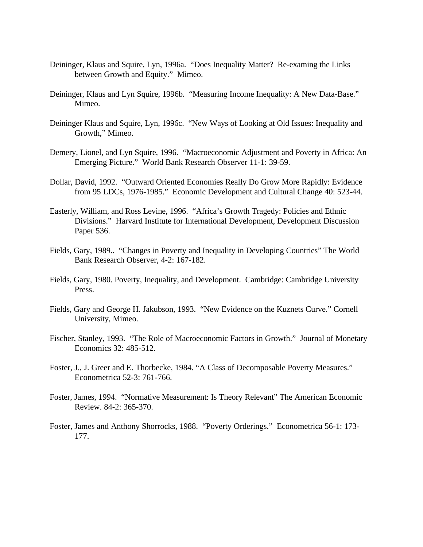- Deininger, Klaus and Squire, Lyn, 1996a. "Does Inequality Matter? Re-examing the Links between Growth and Equity." Mimeo.
- Deininger, Klaus and Lyn Squire, 1996b. "Measuring Income Inequality: A New Data-Base." Mimeo.
- Deininger Klaus and Squire, Lyn, 1996c. "New Ways of Looking at Old Issues: Inequality and Growth," Mimeo.
- Demery, Lionel, and Lyn Squire, 1996. "Macroeconomic Adjustment and Poverty in Africa: An Emerging Picture." World Bank Research Observer 11-1: 39-59.
- Dollar, David, 1992. "Outward Oriented Economies Really Do Grow More Rapidly: Evidence from 95 LDCs, 1976-1985." Economic Development and Cultural Change 40: 523-44.
- Easterly, William, and Ross Levine, 1996. "Africa's Growth Tragedy: Policies and Ethnic Divisions." Harvard Institute for International Development, Development Discussion Paper 536.
- Fields, Gary, 1989.. "Changes in Poverty and Inequality in Developing Countries" The World Bank Research Observer, 4-2: 167-182.
- Fields, Gary, 1980. Poverty, Inequality, and Development. Cambridge: Cambridge University Press.
- Fields, Gary and George H. Jakubson, 1993. "New Evidence on the Kuznets Curve." Cornell University, Mimeo.
- Fischer, Stanley, 1993. "The Role of Macroeconomic Factors in Growth." Journal of Monetary Economics 32: 485-512.
- Foster, J., J. Greer and E. Thorbecke, 1984. "A Class of Decomposable Poverty Measures." Econometrica 52-3: 761-766.
- Foster, James, 1994. "Normative Measurement: Is Theory Relevant" The American Economic Review. 84-2: 365-370.
- Foster, James and Anthony Shorrocks, 1988. "Poverty Orderings." Econometrica 56-1: 173- 177.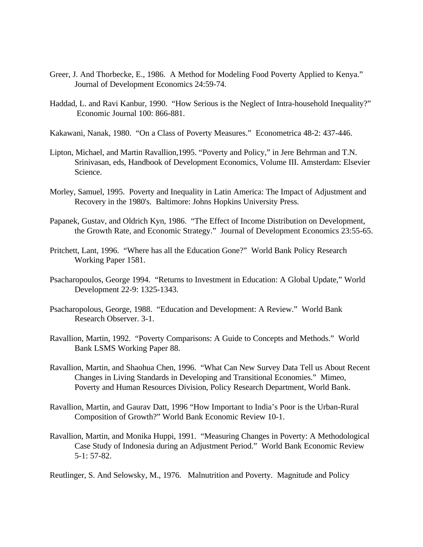- Greer, J. And Thorbecke, E., 1986. A Method for Modeling Food Poverty Applied to Kenya." Journal of Development Economics 24:59-74.
- Haddad, L. and Ravi Kanbur, 1990. "How Serious is the Neglect of Intra-household Inequality?" Economic Journal 100: 866-881.

Kakawani, Nanak, 1980. "On a Class of Poverty Measures." Econometrica 48-2: 437-446.

- Lipton, Michael, and Martin Ravallion,1995. "Poverty and Policy," in Jere Behrman and T.N. Srinivasan, eds, Handbook of Development Economics, Volume III. Amsterdam: Elsevier Science.
- Morley, Samuel, 1995. Poverty and Inequality in Latin America: The Impact of Adjustment and Recovery in the 1980's. Baltimore: Johns Hopkins University Press.
- Papanek, Gustav, and Oldrich Kyn, 1986. "The Effect of Income Distribution on Development, the Growth Rate, and Economic Strategy." Journal of Development Economics 23:55-65.
- Pritchett, Lant, 1996. "Where has all the Education Gone?" World Bank Policy Research Working Paper 1581.
- Psacharopoulos, George 1994. "Returns to Investment in Education: A Global Update," World Development 22-9: 1325-1343.
- Psacharopolous, George, 1988. "Education and Development: A Review." World Bank Research Observer. 3-1.
- Ravallion, Martin, 1992. "Poverty Comparisons: A Guide to Concepts and Methods." World Bank LSMS Working Paper 88.
- Ravallion, Martin, and Shaohua Chen, 1996. "What Can New Survey Data Tell us About Recent Changes in Living Standards in Developing and Transitional Economies." Mimeo, Poverty and Human Resources Division, Policy Research Department, World Bank.
- Ravallion, Martin, and Gaurav Datt, 1996 "How Important to India's Poor is the Urban-Rural Composition of Growth?" World Bank Economic Review 10-1.
- Ravallion, Martin, and Monika Huppi, 1991. "Measuring Changes in Poverty: A Methodological Case Study of Indonesia during an Adjustment Period." World Bank Economic Review 5-1: 57-82.
- Reutlinger, S. And Selowsky, M., 1976. Malnutrition and Poverty. Magnitude and Policy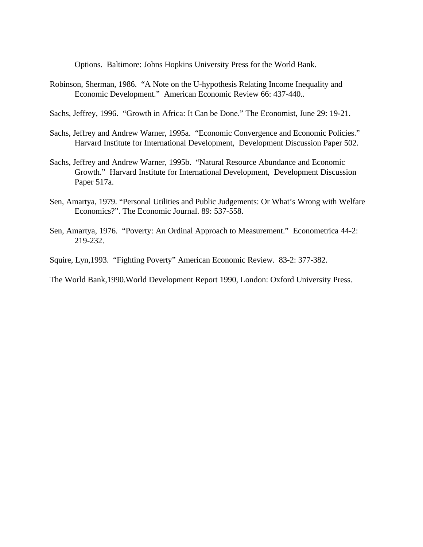Options. Baltimore: Johns Hopkins University Press for the World Bank.

- Robinson, Sherman, 1986. "A Note on the U-hypothesis Relating Income Inequality and Economic Development." American Economic Review 66: 437-440..
- Sachs, Jeffrey, 1996. "Growth in Africa: It Can be Done." The Economist, June 29: 19-21.
- Sachs, Jeffrey and Andrew Warner, 1995a. "Economic Convergence and Economic Policies." Harvard Institute for International Development, Development Discussion Paper 502.
- Sachs, Jeffrey and Andrew Warner, 1995b. "Natural Resource Abundance and Economic Growth." Harvard Institute for International Development, Development Discussion Paper 517a.
- Sen, Amartya, 1979. "Personal Utilities and Public Judgements: Or What's Wrong with Welfare Economics?". The Economic Journal. 89: 537-558.
- Sen, Amartya, 1976. "Poverty: An Ordinal Approach to Measurement." Econometrica 44-2: 219-232.

Squire, Lyn,1993. "Fighting Poverty" American Economic Review. 83-2: 377-382.

The World Bank,1990.World Development Report 1990, London: Oxford University Press.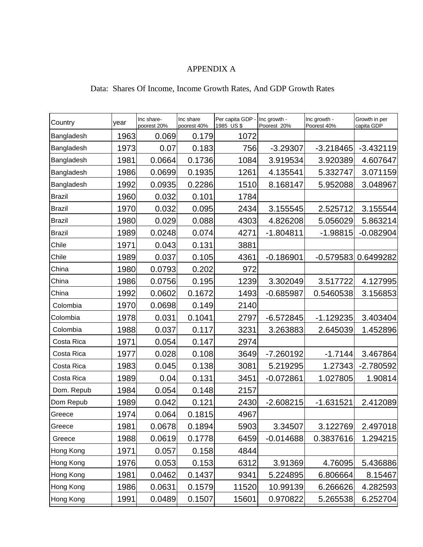# APPENDIX A

### Data: Shares Of Income, Income Growth Rates, And GDP Growth Rates

| Country       | year | Inc share-<br>poorest 20% | Inc share<br>poorest 40% | Per capita GDP -<br>1985 US\$ | Inc growth -<br>Poorest 20% | Inc growth -<br>Poorest 40% | Growth in per<br>capita GDP |
|---------------|------|---------------------------|--------------------------|-------------------------------|-----------------------------|-----------------------------|-----------------------------|
| Bangladesh    | 1963 | 0.069                     | 0.179                    | 1072                          |                             |                             |                             |
| Bangladesh    | 1973 | 0.07                      | 0.183                    | 756                           | $-3.29307$                  | $-3.218465$                 | $-3.432119$                 |
| Bangladesh    | 1981 | 0.0664                    | 0.1736                   | 1084                          | 3.919534                    | 3.920389                    | 4.607647                    |
| Bangladesh    | 1986 | 0.0699                    | 0.1935                   | 1261                          | 4.135541                    | 5.332747                    | 3.071159                    |
| Bangladesh    | 1992 | 0.0935                    | 0.2286                   | 1510                          | 8.168147                    | 5.952088                    | 3.048967                    |
| <b>Brazil</b> | 1960 | 0.032                     | 0.101                    | 1784                          |                             |                             |                             |
| <b>Brazil</b> | 1970 | 0.032                     | 0.095                    | 2434                          | 3.155545                    | 2.525712                    | 3.155544                    |
| <b>Brazil</b> | 1980 | 0.029                     | 0.088                    | 4303                          | 4.826208                    | 5.056029                    | 5.863214                    |
| <b>Brazil</b> | 1989 | 0.0248                    | 0.074                    | 4271                          | $-1.804811$                 | $-1.98815$                  | $-0.082904$                 |
| Chile         | 1971 | 0.043                     | 0.131                    | 3881                          |                             |                             |                             |
| Chile         | 1989 | 0.037                     | 0.105                    | 4361                          | $-0.186901$                 | $-0.579583$                 | 0.6499282                   |
| China         | 1980 | 0.0793                    | 0.202                    | 972                           |                             |                             |                             |
| China         | 1986 | 0.0756                    | 0.195                    | 1239                          | 3.302049                    | 3.517722                    | 4.127995                    |
| China         | 1992 | 0.0602                    | 0.1672                   | 1493                          | $-0.685987$                 | 0.5460538                   | 3.156853                    |
| Colombia      | 1970 | 0.0698                    | 0.149                    | 2140                          |                             |                             |                             |
| Colombia      | 1978 | 0.031                     | 0.1041                   | 2797                          | $-6.572845$                 | $-1.129235$                 | 3.403404                    |
| Colombia      | 1988 | 0.037                     | 0.117                    | 3231                          | 3.263883                    | 2.645039                    | 1.452896                    |
| Costa Rica    | 1971 | 0.054                     | 0.147                    | 2974                          |                             |                             |                             |
| Costa Rica    | 1977 | 0.028                     | 0.108                    | 3649                          | -7.260192                   | $-1.7144$                   | 3.467864                    |
| Costa Rica    | 1983 | 0.045                     | 0.138                    | 3081                          | 5.219295                    | 1.27343                     | $-2.780592$                 |
| Costa Rica    | 1989 | 0.04                      | 0.131                    | 3451                          | $-0.072861$                 | 1.027805                    | 1.90814                     |
| Dom. Repub    | 1984 | 0.054                     | 0.148                    | 2157                          |                             |                             |                             |
| Dom Repub     | 1989 | 0.042                     | 0.121                    | 2430                          | $-2.608215$                 | $-1.631521$                 | 2.412089                    |
| Greece        | 1974 | 0.064                     | 0.1815                   | 4967                          |                             |                             |                             |
| Greece        | 1981 | 0.0678                    | 0.1894                   | 5903                          | 3.34507                     | 3.122769                    | 2.497018                    |
| Greece        | 1988 | 0.0619                    | 0.1778                   | 6459                          | $-0.014688$                 | 0.3837616                   | 1.294215                    |
| Hong Kong     | 1971 | 0.057                     | 0.158                    | 4844                          |                             |                             |                             |
| Hong Kong     | 1976 | 0.053                     | 0.153                    | 6312                          | 3.91369                     | 4.76095                     | 5.436886                    |
| Hong Kong     | 1981 | 0.0462                    | 0.1437                   | 9341                          | 5.224895                    | 6.806664                    | 8.15467                     |
| Hong Kong     | 1986 | 0.0631                    | 0.1579                   | 11520                         | 10.99139                    | 6.266626                    | 4.282593                    |
| Hong Kong     | 1991 | 0.0489                    | 0.1507                   | 15601                         | 0.970822                    | 5.265538                    | 6.252704                    |
|               |      |                           |                          |                               |                             |                             |                             |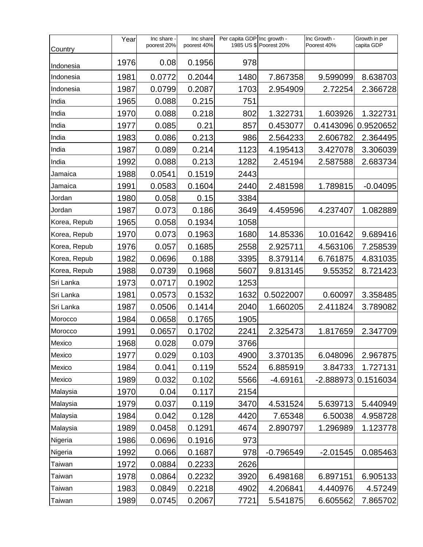|               | Year | Inc share -<br>poorest 20% | Inc share<br>poorest 40% | Per capita GDP Inc growth - | 1985 US \$ Poorest 20% | Inc Growth -<br>Poorest 40% | Growth in per<br>capita GDP |
|---------------|------|----------------------------|--------------------------|-----------------------------|------------------------|-----------------------------|-----------------------------|
| Country       |      |                            |                          |                             |                        |                             |                             |
| Indonesia     | 1976 | 0.08                       | 0.1956                   | 978                         |                        |                             |                             |
| Indonesia     | 1981 | 0.0772                     | 0.2044                   | 1480                        | 7.867358               | 9.599099                    | 8.638703                    |
| Indonesia     | 1987 | 0.0799                     | 0.2087                   | 1703                        | 2.954909               | 2.72254                     | 2.366728                    |
| India         | 1965 | 0.088                      | 0.215                    | 751                         |                        |                             |                             |
| India         | 1970 | 0.088                      | 0.218                    | 802                         | 1.322731               | 1.603926                    | 1.322731                    |
| India         | 1977 | 0.085                      | 0.21                     | 857                         | 0.453077               | 0.4143096                   | 0.9520652                   |
| India         | 1983 | 0.086                      | 0.213                    | 986                         | 2.564233               | 2.606782                    | 2.364495                    |
| India         | 1987 | 0.089                      | 0.214                    | 1123                        | 4.195413               | 3.427078                    | 3.306039                    |
| India         | 1992 | 0.088                      | 0.213                    | 1282                        | 2.45194                | 2.587588                    | 2.683734                    |
| Jamaica       | 1988 | 0.0541                     | 0.1519                   | 2443                        |                        |                             |                             |
| Jamaica       | 1991 | 0.0583                     | 0.1604                   | 2440                        | 2.481598               | 1.789815                    | $-0.04095$                  |
| Jordan        | 1980 | 0.058                      | 0.15                     | 3384                        |                        |                             |                             |
| Jordan        | 1987 | 0.073                      | 0.186                    | 3649                        | 4.459596               | 4.237407                    | 1.082889                    |
| Korea, Repub  | 1965 | 0.058                      | 0.1934                   | 1058                        |                        |                             |                             |
| Korea, Repub  | 1970 | 0.073                      | 0.1963                   | 1680                        | 14.85336               | 10.01642                    | 9.689416                    |
| Korea, Repub  | 1976 | 0.057                      | 0.1685                   | 2558                        | 2.925711               | 4.563106                    | 7.258539                    |
| Korea, Repub  | 1982 | 0.0696                     | 0.188                    | 3395                        | 8.379114               | 6.761875                    | 4.831035                    |
| Korea, Repub  | 1988 | 0.0739                     | 0.1968                   | 5607                        | 9.813145               | 9.55352                     | 8.721423                    |
| Sri Lanka     | 1973 | 0.0717                     | 0.1902                   | 1253                        |                        |                             |                             |
| Sri Lanka     | 1981 | 0.0573                     | 0.1532                   | 1632                        | 0.5022007              | 0.60097                     | 3.358485                    |
| Sri Lanka     | 1987 | 0.0506                     | 0.1414                   | 2040                        | 1.660205               | 2.411824                    | 3.789082                    |
| Morocco       | 1984 | 0.0658                     | 0.1765                   | 1905                        |                        |                             |                             |
| Morocco       | 1991 | 0.0657                     | 0.1702                   | 2241                        | 2.325473               | 1.817659                    | 2.347709                    |
| Mexico        | 1968 | 0.028                      | 0.079                    | 3766                        |                        |                             |                             |
| Mexico        | 1977 | 0.029                      | 0.103                    | 4900                        | 3.370135               | 6.048096                    | 2.967875                    |
| Mexico        | 1984 | 0.041                      | 0.119                    | 5524                        | 6.885919               | 3.84733                     | 1.727131                    |
| Mexico        | 1989 | 0.032                      | 0.102                    | 5566                        | $-4.69161$             | $-2.888973$                 | 0.1516034                   |
| Malaysia      | 1970 | 0.04                       | 0.117                    | 2154                        |                        |                             |                             |
| Malaysia      | 1979 | 0.037                      | 0.119                    | 3470                        | 4.531524               | 5.639713                    | 5.440949                    |
| Malaysia      | 1984 | 0.042                      | 0.128                    | 4420                        | 7.65348                | 6.50038                     | 4.958728                    |
| Malaysia      | 1989 | 0.0458                     | 0.1291                   | 4674                        | 2.890797               | 1.296989                    | 1.123778                    |
| Nigeria       | 1986 | 0.0696                     | 0.1916                   | 973                         |                        |                             |                             |
| Nigeria       | 1992 | 0.066                      | 0.1687                   | 978                         | $-0.796549$            | $-2.01545$                  | 0.085463                    |
| <b>Taiwan</b> | 1972 | 0.0884                     | 0.2233                   | 2626                        |                        |                             |                             |
| Taiwan        | 1978 | 0.0864                     | 0.2232                   | 3920                        | 6.498168               | 6.897151                    | 6.905133                    |
| Taiwan        | 1983 | 0.0849                     | 0.2218                   | 4902                        | 4.206841               | 4.440976                    | 4.57249                     |
| Taiwan        | 1989 | 0.0745                     | 0.2067                   | 7721                        | 5.541875               | 6.605562                    | 7.865702                    |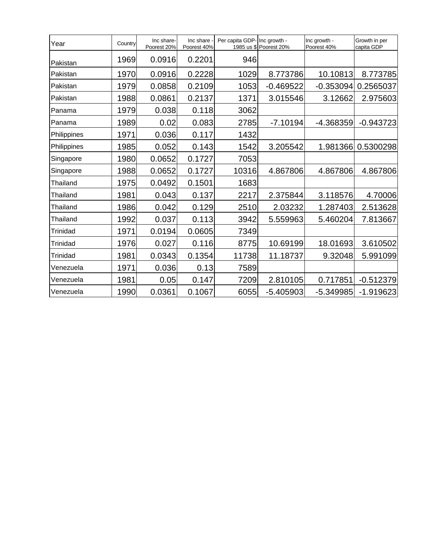| Year        | Country | Inc share-<br>Poorest 20% | Inc share<br>Poorest 40% | Per capita GDP- Inc growth - | 1985 us \$ Poorest 20% | Inc growth -<br>Poorest 40% | Growth in per<br>capita GDP |
|-------------|---------|---------------------------|--------------------------|------------------------------|------------------------|-----------------------------|-----------------------------|
| Pakistan    | 1969    | 0.0916                    | 0.2201                   | 946                          |                        |                             |                             |
| Pakistan    | 1970    | 0.0916                    | 0.2228                   | 1029                         | 8.773786               | 10.10813                    | 8.773785                    |
| Pakistan    | 1979    | 0.0858                    | 0.2109                   | 1053                         | $-0.469522$            | $-0.353094$                 | 0.2565037                   |
| Pakistan    | 1988    | 0.0861                    | 0.2137                   | 1371                         | 3.015546               | 3.12662                     | 2.975603                    |
| Panama      | 1979    | 0.038                     | 0.118                    | 3062                         |                        |                             |                             |
| Panama      | 1989    | 0.02                      | 0.083                    | 2785                         | $-7.10194$             | -4.368359                   | $-0.943723$                 |
| Philippines | 1971    | 0.036                     | 0.117                    | 1432                         |                        |                             |                             |
| Philippines | 1985    | 0.052                     | 0.143                    | 1542                         | 3.205542               | 1.981366                    | 0.5300298                   |
| Singapore   | 1980    | 0.0652                    | 0.1727                   | 7053                         |                        |                             |                             |
| Singapore   | 1988    | 0.0652                    | 0.1727                   | 10316                        | 4.867806               | 4.867806                    | 4.867806                    |
| Thailand    | 1975    | 0.0492                    | 0.1501                   | 1683                         |                        |                             |                             |
| Thailand    | 1981    | 0.043                     | 0.137                    | 2217                         | 2.375844               | 3.118576                    | 4.70006                     |
| Thailand    | 1986    | 0.042                     | 0.129                    | 2510                         | 2.03232                | 1.287403                    | 2.513628                    |
| Thailand    | 1992    | 0.037                     | 0.113                    | 3942                         | 5.559963               | 5.460204                    | 7.813667                    |
| Trinidad    | 1971    | 0.0194                    | 0.0605                   | 7349                         |                        |                             |                             |
| Trinidad    | 1976    | 0.027                     | 0.116                    | 8775                         | 10.69199               | 18.01693                    | 3.610502                    |
| Trinidad    | 1981    | 0.0343                    | 0.1354                   | 11738                        | 11.18737               | 9.32048                     | 5.991099                    |
| Venezuela   | 1971    | 0.036                     | 0.13                     | 7589                         |                        |                             |                             |
| Venezuela   | 1981    | 0.05                      | 0.147                    | 7209                         | 2.810105               | 0.717851                    | $-0.512379$                 |
| Venezuela   | 1990    | 0.0361                    | 0.1067                   | 6055                         | $-5.405903$            | -5.349985                   | $-1.919623$                 |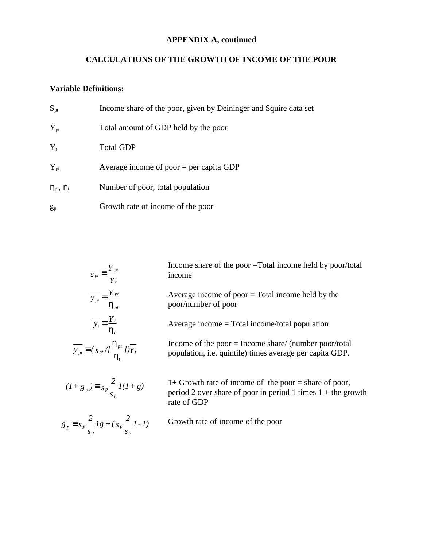## **APPENDIX A, continued**

### **CALCULATIONS OF THE GROWTH OF INCOME OF THE POOR**

### **Variable Definitions:**

| $S_{pt}$                            | Income share of the poor, given by Deininger and Squire data set |
|-------------------------------------|------------------------------------------------------------------|
| $Y_{pt}$                            | Total amount of GDP held by the poor                             |
| $Y_{t}$                             | <b>Total GDP</b>                                                 |
| $Y_{pt}$                            | Average income of poor $=$ per capita GDP                        |
| $\eta_{\text{pt}}, \eta_{\text{t}}$ | Number of poor, total population                                 |
| $g_p$                               | Growth rate of income of the poor                                |

| $S_{pt} \equiv \frac{Y_{pt}}{Y_t}$                                                 | Income share of the poor $=$ Total income held by poor/total<br>income                                                                   |
|------------------------------------------------------------------------------------|------------------------------------------------------------------------------------------------------------------------------------------|
| $\overline{y}_{pt} \equiv \frac{Y_{pt}}{h_{pt}}$                                   | Average income of poor $=$ Total income held by the<br>poor/number of poor                                                               |
| $y_t = \frac{Y_t}{h}$                                                              | Average income $=$ Total income/total population                                                                                         |
| $\overline{y_{pt}} \equiv (\frac{\hbar_{pt}}{\hbar})/\overline{\overline{h}_{pt}}$ | Income of the poor $=$ Income share/ (number poor/total<br>population, <i>i.e.</i> quintile) times average per capita GDP.               |
| $(I+g_p) \equiv s_p \frac{2}{s_p} I(I+g)$                                          | $1+$ Growth rate of income of the poor = share of poor,<br>period 2 over share of poor in period 1 times $1 +$ the growth<br>rate of GDP |

$$
g_p \equiv s_p \frac{2}{s_p} Ig + (s_p \frac{2}{s_p} I - I)
$$

*1)* Growth rate of income of the poor *1-*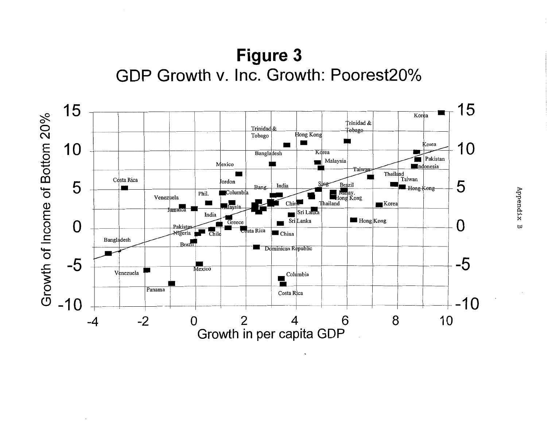**Figure 3 GDP Growth v. Inc. Growth: Poorest20°/o** 



 $\sim$